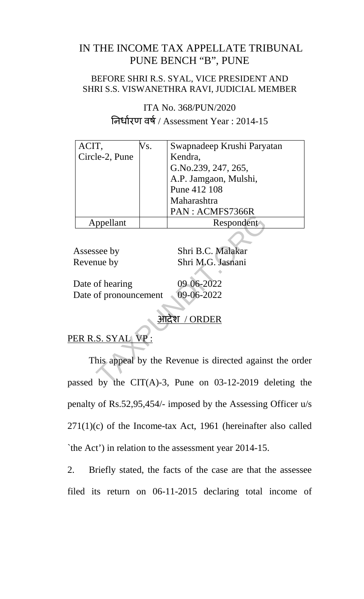## IN THE INCOME TAX APPELLATE TRIBUNAL PUNE BENCH "B", PUNE

### BEFORE SHRI R.S. SYAL, VICE PRESIDENT AND SHRI S.S. VISWANETHRA RAVI, JUDICIAL MEMBER

ITA No. 368/PUN/2020 नधारण वष / Assessment Year : 2014-15

| ACIT,          | Vs. | Swapnadeep Krushi Paryatan |
|----------------|-----|----------------------------|
| Circle-2, Pune |     | Kendra,                    |
|                |     | G.No.239, 247, 265,        |
|                |     | A.P. Jamgaon, Mulshi,      |
|                |     | Pune 412 108               |
|                |     | Maharashtra                |
|                |     | PAN: ACMFS7366R            |
| ppellant       |     | Respondent                 |

Assessee by Shri B.C. Malakar Revenue by Shri M.G. Jasnani

Date of hearing 09 06-2022 Date of pronouncement 09-06-2022

# आदेश / ORDER

# PER R.S. SYAL VP:

This appeal by the Revenue is directed against the order passed by the CIT(A)-3, Pune on 03-12-2019 deleting the penalty of Rs.52,95,454/- imposed by the Assessing Officer u/s  $271(1)(c)$  of the Income-tax Act, 1961 (hereinafter also called `the Act') in relation to the assessment year 2014-15. more by<br>
Shri B.C. Malakar<br>
Shri B.C. Malakar<br>
Shri M.G. Jasnani<br>
of hearing<br>
of pronouncement<br>
09-06-2022<br>
<del>3 Judger / ORDER</del><br>
S. SYAL VP:<br>
his appeal by the Revenue is directed agains<br>
by the CIT(A)-3, Pune on 03-12-2019

2. Briefly stated, the facts of the case are that the assessee filed its return on 06-11-2015 declaring total income of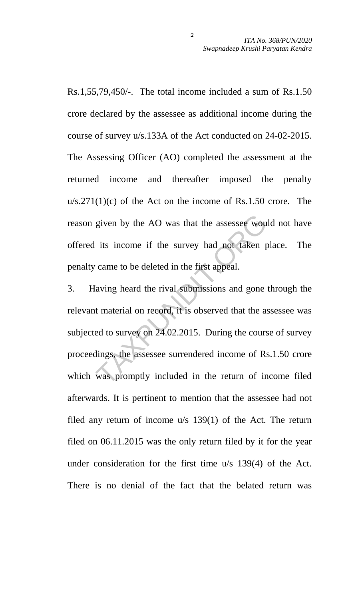Rs.1,55,79,450/-. The total income included a sum of Rs.1.50 crore declared by the assessee as additional income during the course of survey u/s.133A of the Act conducted on 24-02-2015. The Assessing Officer (AO) completed the assessment at the returned income and thereafter imposed the penalty  $u/s.271(1)(c)$  of the Act on the income of Rs.1.50 crore. The reason given by the AO was that the assessee would not have offered its income if the survey had not taken place. The penalty came to be deleted in the first appeal.

3. Having heard the rival submissions and gone through the relevant material on record, it is observed that the assessee was subjected to survey on 24.02.2015. During the course of survey proceedings, the assessee surrendered income of Rs.1.50 crore which was promptly included in the return of income filed afterwards. It is pertinent to mention that the assessee had not filed any return of income u/s 139(1) of the Act. The return filed on 06.11.2015 was the only return filed by it for the year under consideration for the first time u/s 139(4) of the Act. There is no denial of the fact that the belated return was given by the AO was that the assessee wou<br>its income if the survey had not taken p<br>came to be deleted in the first appeal.<br>Javing heard the rival submissions and gone<br>t material on record, it is observed that the as<br>ed to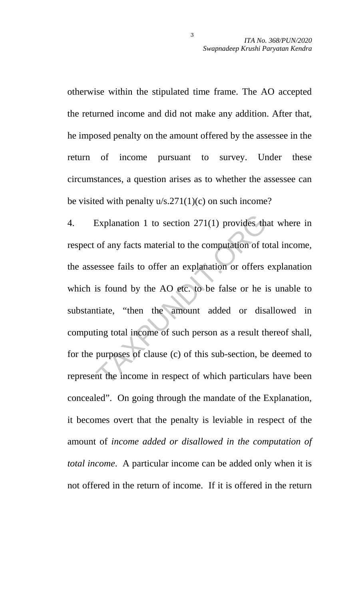otherwise within the stipulated time frame. The AO accepted the returned income and did not make any addition. After that, he imposed penalty on the amount offered by the assessee in the return of income pursuant to survey. Under these circumstances, a question arises as to whether the assessee can be visited with penalty  $u/s.271(1)(c)$  on such income?

4. Explanation 1 to section 271(1) provides that where in respect of any facts material to the computation of total income, the assessee fails to offer an explanation or offers explanation which is found by the AO etc. to be false or he is unable to substantiate, "then the amount added or disallowed in computing total income of such person as a result thereof shall, for the purposes of clause (c) of this sub-section, be deemed to represent the income in respect of which particulars have been concealed". On going through the mandate of the Explanation, it becomes overt that the penalty is leviable in respect of the amount of *income added or disallowed in the computation of total income*. A particular income can be added only when it is not offered in the return of income. If it is offered in the return Explanation 1 to section 271(1) provides the<br>of any facts material to the computation of to<br>essee fails to offer an explanation or offers<br>is found by the AO etc. to be false or he i<br>titate, "then the amount added or disa<br>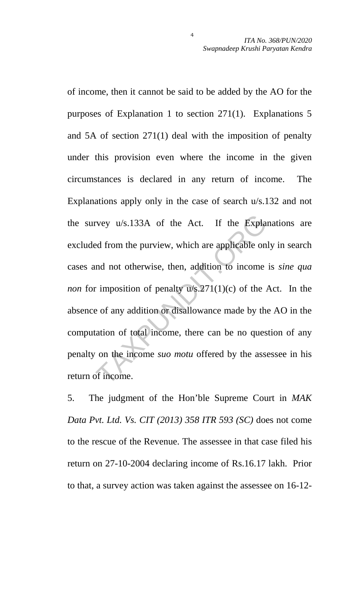of income, then it cannot be said to be added by the AO for the purposes of Explanation 1 to section 271(1). Explanations 5 and 5A of section 271(1) deal with the imposition of penalty under this provision even where the income in the given circumstances is declared in any return of income. The Explanations apply only in the case of search u/s.132 and not the survey u/s.133A of the Act. If the Explanations are excluded from the purview, which are applicable only in search cases and not otherwise, then, addition to income is *sine qua non* for imposition of penalty u/s.271(1)(c) of the Act. In the absence of any addition or disallowance made by the AO in the computation of total income, there can be no question of any penalty on the income *suo motu* offered by the assessee in his return of income. rvey u/s.133A of the Act. If the Explantion deform the purview, which are applicable on and not otherwise, then, addition to income timposition of penalty u/s.271(1)(c) of the  $\lambda$  e of any addition or disallowance made b

4

5. The judgment of the Hon'ble Supreme Court in *MAK Data Pvt. Ltd. Vs. CIT (2013) 358 ITR 593 (SC)* does not come to the rescue of the Revenue. The assessee in that case filed his return on 27-10-2004 declaring income of Rs.16.17 lakh. Prior to that, a survey action was taken against the assessee on 16-12-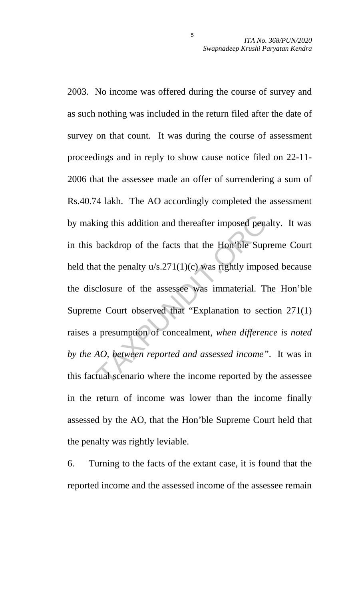2003. No income was offered during the course of survey and as such nothing was included in the return filed after the date of survey on that count. It was during the course of assessment proceedings and in reply to show cause notice filed on 22-11- 2006 that the assessee made an offer of surrendering a sum of Rs.40.74 lakh. The AO accordingly completed the assessment by making this addition and thereafter imposed penalty. It was in this backdrop of the facts that the Hon'ble Supreme Court held that the penalty  $u/s.271(1)(c)$  was rightly imposed because the disclosure of the assessee was immaterial. The Hon'ble Supreme Court observed that "Explanation to section 271(1) raises a presumption of concealment, *when difference is noted by the AO, between reported and assessed income"*. It was in this factual scenario where the income reported by the assessee in the return of income was lower than the income finally assessed by the AO, that the Hon'ble Supreme Court held that the penalty was rightly leviable. ting this addition and thereafter imposed pena-<br>backdrop of the facts that the Hon'ble Sup<br>at the penalty u/s.271(1)(c) was rightly impos-<br>closure of the assessee was immaterial. The<br>Court observed that "Explanation to sec

6. Turning to the facts of the extant case, it is found that the reported income and the assessed income of the assessee remain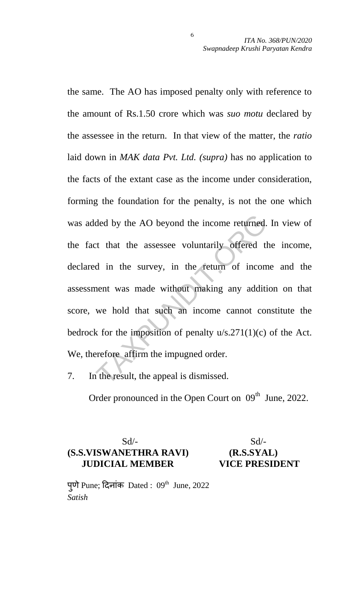the same. The AO has imposed penalty only with reference to the amount of Rs.1.50 crore which was *suo motu* declared by the assessee in the return. In that view of the matter, the *ratio* laid down in *MAK data Pvt. Ltd. (supra)* has no application to the facts of the extant case as the income under consideration, forming the foundation for the penalty, is not the one which was added by the AO beyond the income returned. In view of the fact that the assessee voluntarily offered the income, declared in the survey, in the return of income and the assessment was made without making any addition on that score, we hold that such an income cannot constitute the bedrock for the imposition of penalty  $u/s.271(1)(c)$  of the Act. We, therefore affirm the impugned order. ded by the AO beyond the income returned.<br>
tt that the assessee voluntarily offered the<br>
d in the survey, in the return of incom<br>
nent was made without making any additi<br>
we hold that such an income cannot con<br>
k for the i

7. In the result, the appeal is dismissed.

Order pronounced in the Open Court on 09<sup>th</sup> June, 2022.

## $Sd$ - $Sd$ -**(S.S.VISWANETHRA RAVI) (R.S.SYAL) JUDICIAL MEMBER VICE PRESIDENT**

पुणे Pune; दिनांक Dated :  $09<sup>th</sup>$  June, 2022 *Satish*